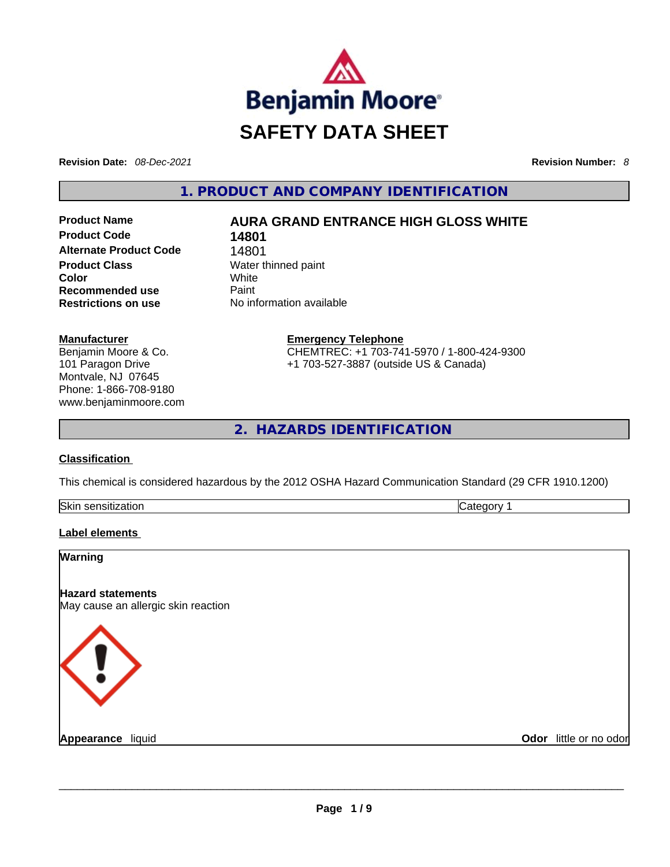

**Revision Date:** *08-Dec-2021* **Revision Number:** *8*

**1. PRODUCT AND COMPANY IDENTIFICATION** 

**Product Code 14801 Alternate Product Code** 14801 **Product Class Water thinned paint Color** White **Recommended use Paint Restrictions on use** No information available

# **Product Name AURA GRAND ENTRANCE HIGH GLOSS WHITE**

**Manufacturer** Benjamin Moore & Co. 101 Paragon Drive Montvale, NJ 07645 Phone: 1-866-708-9180 www.benjaminmoore.com **Emergency Telephone** CHEMTREC: +1 703-741-5970 / 1-800-424-9300 +1 703-527-3887 (outside US & Canada)

**2. HAZARDS IDENTIFICATION** 

## **Classification**

This chemical is considered hazardous by the 2012 OSHA Hazard Communication Standard (29 CFR 1910.1200)

| Skin<br>חר<br>- | . . |
|-----------------|-----|
|                 |     |

## **Label elements**

# **Warning Hazard statements** May cause an allergic skin reaction **Appearance** liquid **and a construction of the construction of the construction of the construction of the construction of the construction of the construction of the construction of the construction of the construction of Odor** little or no odor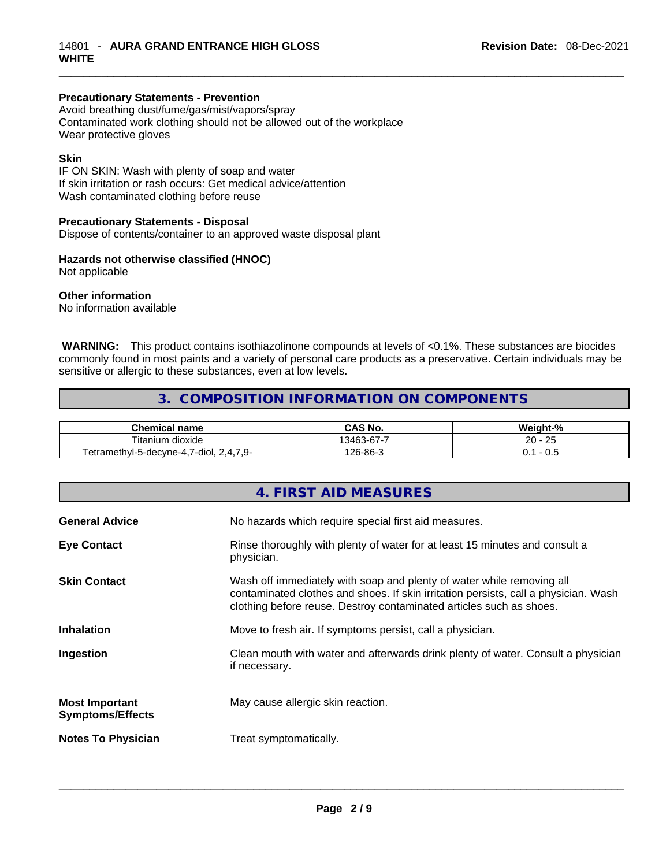## **Precautionary Statements - Prevention**

Avoid breathing dust/fume/gas/mist/vapors/spray Contaminated work clothing should not be allowed out of the workplace Wear protective gloves

## **Skin**

IF ON SKIN: Wash with plenty of soap and water If skin irritation or rash occurs: Get medical advice/attention Wash contaminated clothing before reuse

## **Precautionary Statements - Disposal**

Dispose of contents/container to an approved waste disposal plant

## **Hazards not otherwise classified (HNOC)**

Not applicable

## **Other information**

No information available

**WARNING:** This product contains isothiazolinone compounds at levels of <0.1%. These substances are biocides commonly found in most paints and a variety of personal care products as a preservative. Certain individuals may be sensitive or allergic to these substances, even at low levels.

## **3. COMPOSITION INFORMATION ON COMPONENTS**

| <b>Chemical name</b>                                          | ົAS No.    | Weight-%           |
|---------------------------------------------------------------|------------|--------------------|
| $- \cdot$ .<br>ı dioxide<br>itanium                           | .3463-67-7 | $\sim$<br>20<br>نت |
| $\rightarrow$<br>7-diol,<br>'etramethvl-5-decvne-4<br>u.<br>. | 126-86-3   | v.J                |

|                                                  | 4. FIRST AID MEASURES                                                                                                                                                                                                               |
|--------------------------------------------------|-------------------------------------------------------------------------------------------------------------------------------------------------------------------------------------------------------------------------------------|
| <b>General Advice</b>                            | No hazards which require special first aid measures.                                                                                                                                                                                |
| <b>Eye Contact</b>                               | Rinse thoroughly with plenty of water for at least 15 minutes and consult a<br>physician.                                                                                                                                           |
| <b>Skin Contact</b>                              | Wash off immediately with soap and plenty of water while removing all<br>contaminated clothes and shoes. If skin irritation persists, call a physician. Wash<br>clothing before reuse. Destroy contaminated articles such as shoes. |
| <b>Inhalation</b>                                | Move to fresh air. If symptoms persist, call a physician.                                                                                                                                                                           |
| Ingestion                                        | Clean mouth with water and afterwards drink plenty of water. Consult a physician<br>if necessary.                                                                                                                                   |
| <b>Most Important</b><br><b>Symptoms/Effects</b> | May cause allergic skin reaction.                                                                                                                                                                                                   |
| <b>Notes To Physician</b>                        | Treat symptomatically.                                                                                                                                                                                                              |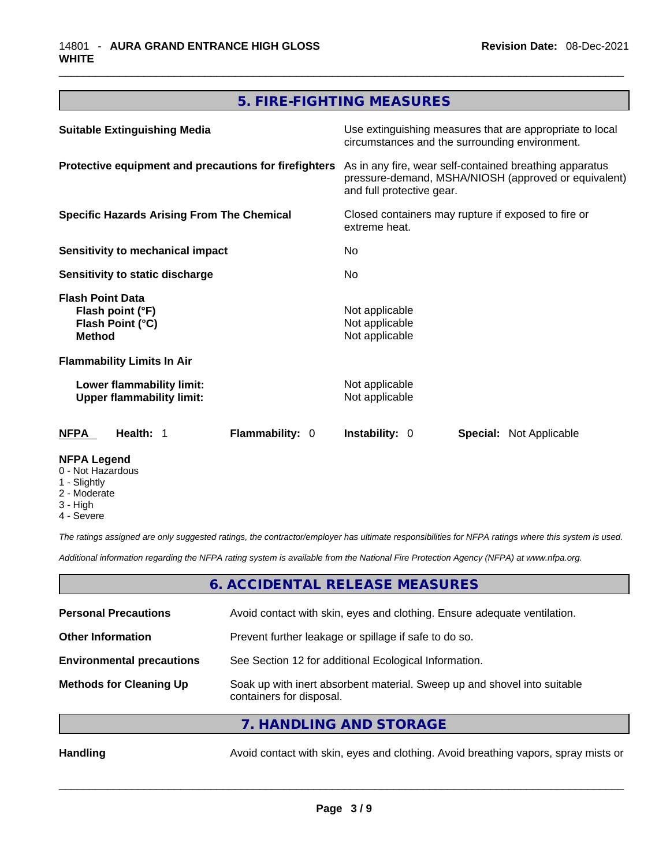# **5. FIRE-FIGHTING MEASURES**

| <b>Suitable Extinguishing Media</b>                                              | Use extinguishing measures that are appropriate to local<br>circumstances and the surrounding environment.                                   |  |
|----------------------------------------------------------------------------------|----------------------------------------------------------------------------------------------------------------------------------------------|--|
| Protective equipment and precautions for firefighters                            | As in any fire, wear self-contained breathing apparatus<br>pressure-demand, MSHA/NIOSH (approved or equivalent)<br>and full protective gear. |  |
| <b>Specific Hazards Arising From The Chemical</b>                                | Closed containers may rupture if exposed to fire or<br>extreme heat.<br>No.                                                                  |  |
| Sensitivity to mechanical impact                                                 |                                                                                                                                              |  |
| <b>Sensitivity to static discharge</b>                                           | No.                                                                                                                                          |  |
| <b>Flash Point Data</b><br>Flash point (°F)<br>Flash Point (°C)<br><b>Method</b> | Not applicable<br>Not applicable<br>Not applicable                                                                                           |  |
| <b>Flammability Limits In Air</b>                                                |                                                                                                                                              |  |
| Lower flammability limit:<br><b>Upper flammability limit:</b>                    | Not applicable<br>Not applicable                                                                                                             |  |
| Flammability: 0<br><b>NFPA</b><br>Health: 1                                      | <b>Instability: 0</b><br><b>Special: Not Applicable</b>                                                                                      |  |
| <b>NFPA Legend</b>                                                               |                                                                                                                                              |  |

- 0 Not Hazardous
- 1 Slightly
- 2 Moderate
- 3 High
- 4 Severe

*The ratings assigned are only suggested ratings, the contractor/employer has ultimate responsibilities for NFPA ratings where this system is used.* 

*Additional information regarding the NFPA rating system is available from the National Fire Protection Agency (NFPA) at www.nfpa.org.* 

## **6. ACCIDENTAL RELEASE MEASURES**

| <b>Personal Precautions</b>      | Avoid contact with skin, eyes and clothing. Ensure adequate ventilation.                             |
|----------------------------------|------------------------------------------------------------------------------------------------------|
|                                  |                                                                                                      |
| <b>Other Information</b>         | Prevent further leakage or spillage if safe to do so.                                                |
| <b>Environmental precautions</b> | See Section 12 for additional Ecological Information.                                                |
| <b>Methods for Cleaning Up</b>   | Soak up with inert absorbent material. Sweep up and shovel into suitable<br>containers for disposal. |
|                                  | 7. HANDLING AND STORAGE                                                                              |

Handling **Handling Avoid contact with skin, eyes and clothing. Avoid breathing vapors, spray mists or**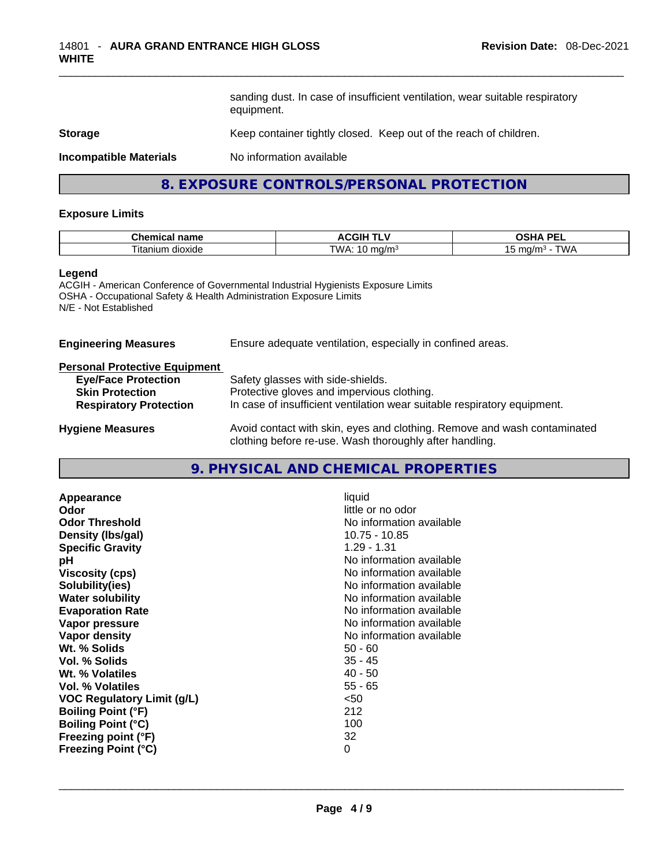sanding dust. In case of insufficient ventilation, wear suitable respiratory equipment.

## **Storage Storage Example 20 Keep container tightly closed. Keep out of the reach of children.**

**Incompatible Materials** No information available

## **8. EXPOSURE CONTROLS/PERSONAL PROTECTION**

#### **Exposure Limits**

| <b>Chemical name</b>                | COILL T<br>. .<br>л.<br>ااتار<br>. .              | <b>DE</b><br>$\sim$ $\sim$ $\sim$<br>лг      |
|-------------------------------------|---------------------------------------------------|----------------------------------------------|
| $\sim$<br>ilum<br>dioxide<br>. ıtar | T\^\/<br>-<br>ma/m <sup>3</sup><br>νv<br>.<br>. . | <b>TIAL</b><br>ma/m<br><b>VV</b><br>ັ<br>v v |

#### **Legend**

ACGIH - American Conference of Governmental Industrial Hygienists Exposure Limits OSHA - Occupational Safety & Health Administration Exposure Limits N/E - Not Established

**Engineering Measures** Ensure adequate ventilation, especially in confined areas.

## **Personal Protective Equipment**

| <b>Eye/Face Protection</b>    | Safety glasses with side-shields.                                                                                                   |
|-------------------------------|-------------------------------------------------------------------------------------------------------------------------------------|
| <b>Skin Protection</b>        | Protective gloves and impervious clothing.                                                                                          |
| <b>Respiratory Protection</b> | In case of insufficient ventilation wear suitable respiratory equipment.                                                            |
| <b>Hygiene Measures</b>       | Avoid contact with skin, eyes and clothing. Remove and wash contaminated<br>clothing before re-use. Wash thoroughly after handling. |

# **9. PHYSICAL AND CHEMICAL PROPERTIES**

| Odor<br><b>Odor Threshold</b><br>Density (lbs/gal)<br><b>Specific Gravity</b><br>рH<br><b>Viscosity (cps)</b><br>Solubility(ies)<br><b>Water solubility</b><br><b>Evaporation Rate</b><br>Vapor pressure<br>Vapor density<br>Wt. % Solids<br>Vol. % Solids<br>Wt. % Volatiles<br>Vol. % Volatiles<br><b>VOC Regulatory Limit (g/L)</b><br><b>Boiling Point (°F)</b><br><b>Boiling Point (°C)</b><br>Freezing point (°F)<br><b>Freezing Point (°C)</b> | No information available<br>10.75 - 10.85<br>$1.29 - 1.31$<br>No information available<br>No information available<br>No information available<br>No information available<br>No information available<br>No information available<br>No information available<br>$50 - 60$<br>$35 - 45$<br>$40 - 50$<br>$55 - 65$<br>$50$<br>212<br>100<br>32<br>0 |
|-------------------------------------------------------------------------------------------------------------------------------------------------------------------------------------------------------------------------------------------------------------------------------------------------------------------------------------------------------------------------------------------------------------------------------------------------------|-----------------------------------------------------------------------------------------------------------------------------------------------------------------------------------------------------------------------------------------------------------------------------------------------------------------------------------------------------|
|-------------------------------------------------------------------------------------------------------------------------------------------------------------------------------------------------------------------------------------------------------------------------------------------------------------------------------------------------------------------------------------------------------------------------------------------------------|-----------------------------------------------------------------------------------------------------------------------------------------------------------------------------------------------------------------------------------------------------------------------------------------------------------------------------------------------------|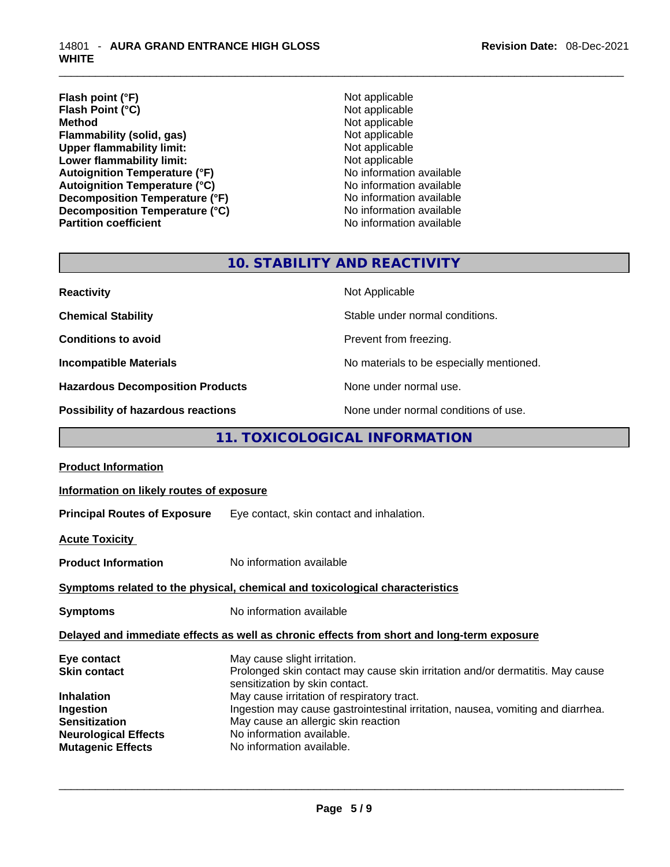- **Flash point (°F)**<br> **Flash Point (°C)**<br> **Flash Point (°C)**<br> **C Flash Point (°C)**<br>Method **Flammability (solid, gas)**<br> **Upper flammability limit:**<br>
Upper flammability limit:<br>  $\begin{array}{ccc}\n\bullet & \bullet & \bullet \\
\bullet & \bullet & \bullet\n\end{array}$  Not applicable Upper flammability limit:<br>
Lower flammability limit:<br>
Not applicable<br>
Not applicable **Lower flammability limit:**<br> **Autoignition Temperature (°F)**<br>
Mo information available **Autoignition Temperature (°F)** Autoignition Temperature (°C)<br>
Decomposition Temperature (°F)<br>
No information available **Decomposition Temperature (°F)**<br> **Decomposition Temperature (°C)**<br>
No information available **Decomposition Temperature (°C) Partition coefficient** 
	- **Not applicable**<br>Not applicable

# **10. STABILITY AND REACTIVITY**

| <b>Reactivity</b>                         | Not Applicable                           |
|-------------------------------------------|------------------------------------------|
| <b>Chemical Stability</b>                 | Stable under normal conditions.          |
| <b>Conditions to avoid</b>                | Prevent from freezing.                   |
| <b>Incompatible Materials</b>             | No materials to be especially mentioned. |
| <b>Hazardous Decomposition Products</b>   | None under normal use.                   |
| <b>Possibility of hazardous reactions</b> | None under normal conditions of use.     |

## **11. TOXICOLOGICAL INFORMATION**

| <b>Product Information</b>                                                     |                                                                                                                                                                                                   |
|--------------------------------------------------------------------------------|---------------------------------------------------------------------------------------------------------------------------------------------------------------------------------------------------|
| Information on likely routes of exposure                                       |                                                                                                                                                                                                   |
|                                                                                | Principal Routes of Exposure Eye contact, skin contact and inhalation.                                                                                                                            |
| <b>Acute Toxicity</b>                                                          |                                                                                                                                                                                                   |
| <b>Product Information</b>                                                     | No information available                                                                                                                                                                          |
|                                                                                | Symptoms related to the physical, chemical and toxicological characteristics                                                                                                                      |
| <b>Symptoms</b>                                                                | No information available                                                                                                                                                                          |
|                                                                                | Delayed and immediate effects as well as chronic effects from short and long-term exposure                                                                                                        |
| Eye contact<br>Skin contact                                                    | May cause slight irritation.<br>Prolonged skin contact may cause skin irritation and/or dermatitis. May cause<br>sensitization by skin contact.                                                   |
| Inhalation<br>Ingestion<br><b>Sensitization</b><br><b>Neurological Effects</b> | May cause irritation of respiratory tract.<br>Ingestion may cause gastrointestinal irritation, nausea, vomiting and diarrhea.<br>May cause an allergic skin reaction<br>No information available. |
| <b>Mutagenic Effects</b>                                                       | No information available.                                                                                                                                                                         |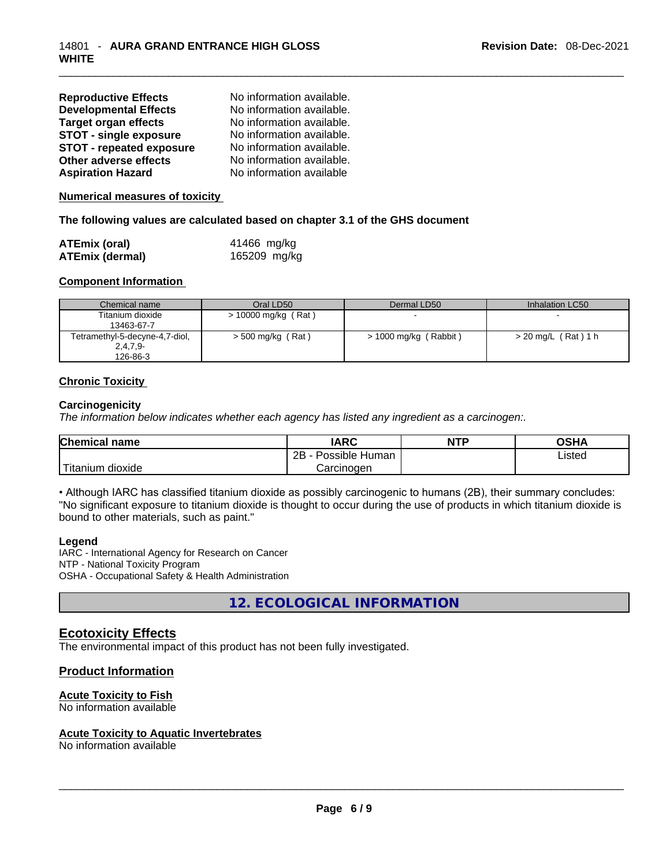| <b>Reproductive Effects</b>     | No information available. |
|---------------------------------|---------------------------|
| <b>Developmental Effects</b>    | No information available. |
| <b>Target organ effects</b>     | No information available. |
| <b>STOT - single exposure</b>   | No information available. |
| <b>STOT - repeated exposure</b> | No information available. |
| Other adverse effects           | No information available. |
| <b>Aspiration Hazard</b>        | No information available  |

**Numerical measures of toxicity**

## **The following values are calculated based on chapter 3.1 of the GHS document**

| <b>ATEmix (oral)</b> | 41466 mg/kg  |
|----------------------|--------------|
| ATEmix (dermal)      | 165209 mg/kg |

## **Component Information**

| Chemical name                  | Oral LD50             | Dermal LD50           | Inhalation LC50       |
|--------------------------------|-----------------------|-----------------------|-----------------------|
| Titanium dioxide               | $> 10000$ mg/kg (Rat) |                       |                       |
| 13463-67-7                     |                       |                       |                       |
| Tetramethyl-5-decyne-4,7-diol, | $>$ 500 mg/kg (Rat)   | > 1000 mg/kg (Rabbit) | $> 20$ mg/L (Rat) 1 h |
| $2,4,7,9-$                     |                       |                       |                       |
| 126-86-3                       |                       |                       |                       |

## **Chronic Toxicity**

## **Carcinogenicity**

*The information below indicates whether each agency has listed any ingredient as a carcinogen:.* 

| <b>Chemical name</b>    | IARC                 | <b>NTP</b> | OSHA   |
|-------------------------|----------------------|------------|--------|
|                         | 2Β<br>Possible Human |            | ∟isted |
| ' Titanium .<br>dioxide | Carcinogen           |            |        |

• Although IARC has classified titanium dioxide as possibly carcinogenic to humans (2B), their summary concludes: "No significant exposure to titanium dioxide is thought to occur during the use of products in which titanium dioxide is bound to other materials, such as paint."

#### **Legend**

IARC - International Agency for Research on Cancer NTP - National Toxicity Program OSHA - Occupational Safety & Health Administration

**12. ECOLOGICAL INFORMATION** 

## **Ecotoxicity Effects**

The environmental impact of this product has not been fully investigated.

## **Product Information**

## **Acute Toxicity to Fish**

No information available

#### **Acute Toxicity to Aquatic Invertebrates**

No information available \_\_\_\_\_\_\_\_\_\_\_\_\_\_\_\_\_\_\_\_\_\_\_\_\_\_\_\_\_\_\_\_\_\_\_\_\_\_\_\_\_\_\_\_\_\_\_\_\_\_\_\_\_\_\_\_\_\_\_\_\_\_\_\_\_\_\_\_\_\_\_\_\_\_\_\_\_\_\_\_\_\_\_\_\_\_\_\_\_\_\_\_\_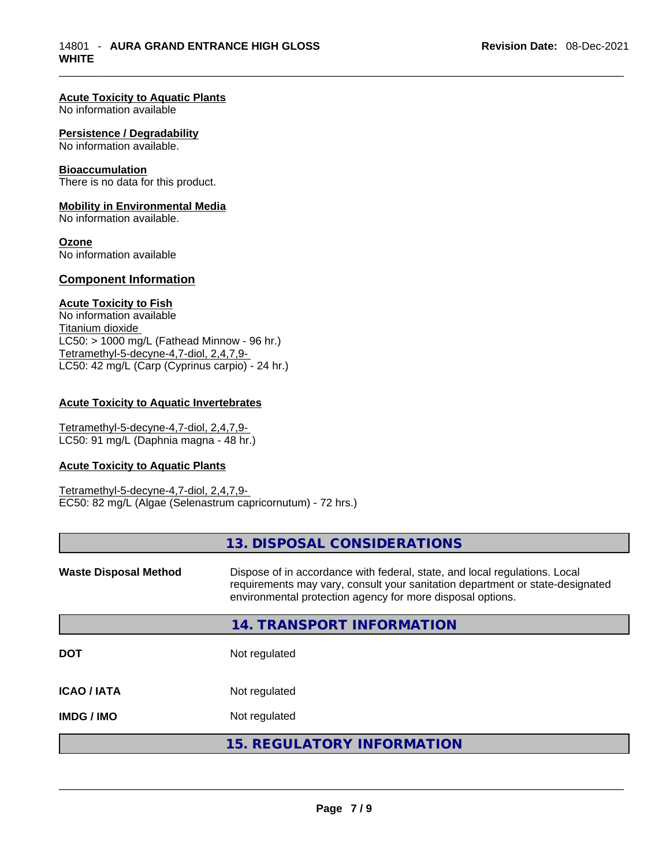## **Acute Toxicity to Aquatic Plants**

No information available

#### **Persistence / Degradability**

No information available.

#### **Bioaccumulation**

There is no data for this product.

## **Mobility in Environmental Media**

No information available.

### **Ozone**

No information available

## **Component Information**

## **Acute Toxicity to Fish**

No information available Titanium dioxide  $LCS0: > 1000$  mg/L (Fathead Minnow - 96 hr.) Tetramethyl-5-decyne-4,7-diol, 2,4,7,9- LC50: 42 mg/L (Carp (Cyprinus carpio) - 24 hr.)

## **Acute Toxicity to Aquatic Invertebrates**

Tetramethyl-5-decyne-4,7-diol, 2,4,7,9- LC50: 91 mg/L (Daphnia magna - 48 hr.)

#### **Acute Toxicity to Aquatic Plants**

Tetramethyl-5-decyne-4,7-diol, 2,4,7,9- EC50: 82 mg/L (Algae (Selenastrum capricornutum) - 72 hrs.)

|                              | 13. DISPOSAL CONSIDERATIONS                                                                                                                                                                                               |
|------------------------------|---------------------------------------------------------------------------------------------------------------------------------------------------------------------------------------------------------------------------|
| <b>Waste Disposal Method</b> | Dispose of in accordance with federal, state, and local regulations. Local<br>requirements may vary, consult your sanitation department or state-designated<br>environmental protection agency for more disposal options. |
|                              | 14. TRANSPORT INFORMATION                                                                                                                                                                                                 |
| <b>DOT</b>                   | Not regulated                                                                                                                                                                                                             |
| <b>ICAO / IATA</b>           | Not regulated                                                                                                                                                                                                             |
| <b>IMDG / IMO</b>            | Not regulated                                                                                                                                                                                                             |
|                              | <b>15. REGULATORY INFORMATION</b>                                                                                                                                                                                         |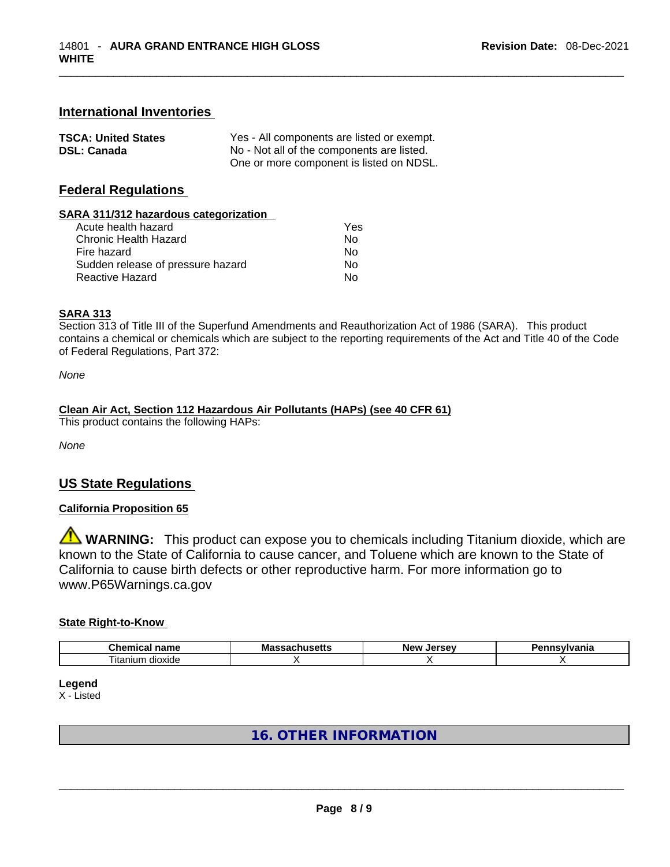## **International Inventories**

| <b>TSCA: United States</b> | Yes - All components are listed or exempt. |
|----------------------------|--------------------------------------------|
| <b>DSL: Canada</b>         | No - Not all of the components are listed. |
|                            | One or more component is listed on NDSL.   |

## **Federal Regulations**

## **SARA 311/312 hazardous categorization**

| Acute health hazard               | Yes |  |
|-----------------------------------|-----|--|
| Chronic Health Hazard             | No  |  |
| Fire hazard                       | Nο  |  |
| Sudden release of pressure hazard | No  |  |
| Reactive Hazard                   | No  |  |

## **SARA 313**

Section 313 of Title III of the Superfund Amendments and Reauthorization Act of 1986 (SARA). This product contains a chemical or chemicals which are subject to the reporting requirements of the Act and Title 40 of the Code of Federal Regulations, Part 372:

*None*

## **Clean Air Act,Section 112 Hazardous Air Pollutants (HAPs) (see 40 CFR 61)**

This product contains the following HAPs:

*None*

## **US State Regulations**

## **California Proposition 65**

**WARNING:** This product can expose you to chemicals including Titanium dioxide, which are known to the State of California to cause cancer, and Toluene which are known to the State of California to cause birth defects or other reproductive harm. For more information go to www.P65Warnings.ca.gov

## **State Right-to-Know**

| – L.<br>$  -$<br>пане<br>.<br>- 21  | - -<br>ма<br>cua | Nev<br>'ه . | . <i>.</i><br>нс |
|-------------------------------------|------------------|-------------|------------------|
| $- \cdot$ .<br>I itanium<br>dioxide |                  |             |                  |

**Legend**

X - Listed

# **16. OTHER INFORMATION**